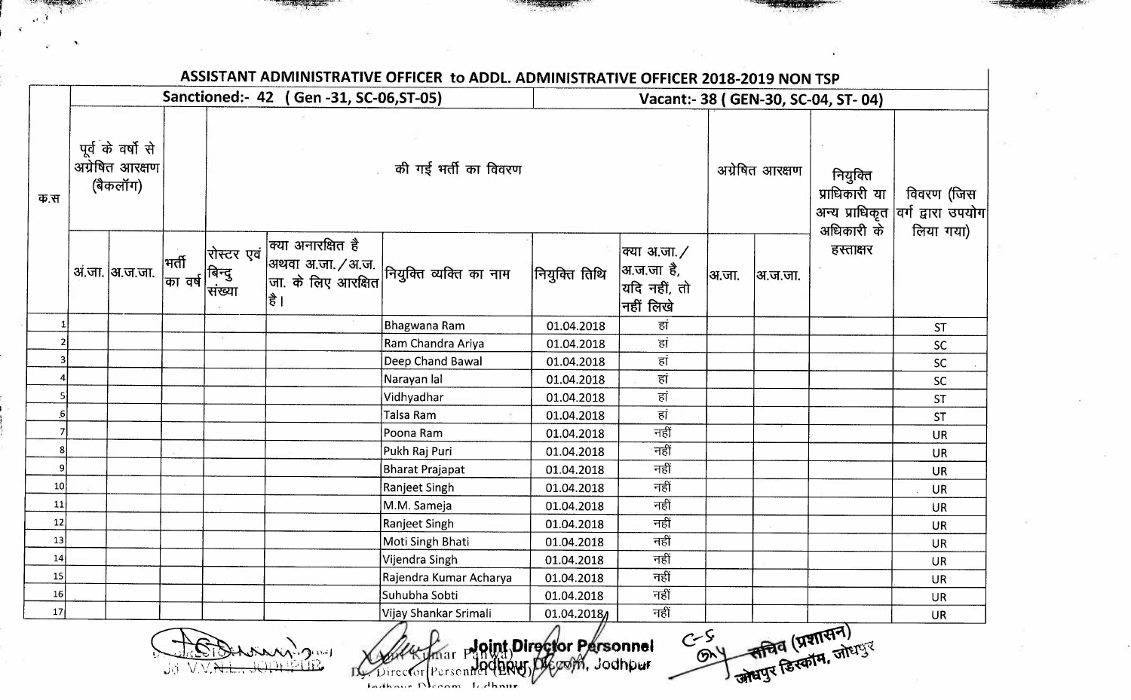|        |                                                  | Sanctioned:- 42 (Gen-31, SC-06, ST-05) |                              |                                |                            |                                          |                       | Vacant:- 38 (GEN-30, SC-04, ST-04)                               |                 |         |                                               |                                                |  |  |  |
|--------|--------------------------------------------------|----------------------------------------|------------------------------|--------------------------------|----------------------------|------------------------------------------|-----------------------|------------------------------------------------------------------|-----------------|---------|-----------------------------------------------|------------------------------------------------|--|--|--|
| फ.स    | पूर्व के वर्षो से<br>अग्रेषित आरक्षण<br>(बैकलॉग) |                                        |                              |                                | की गई भर्ती का विवरण       |                                          |                       |                                                                  | अग्रेषित आरक्षण |         | नियुक्ति<br>प्राधिकारी या<br>अधिकारी के       | विवरण (जिस<br>अन्य प्राधिकृत वर्ग द्वारा उपयोग |  |  |  |
|        |                                                  | अं.जा.  अ.ज.जा.                        | मर्ती<br>$ \varpi $ वर्ष $ $ | रोस्टर एवं<br>बिन्दु<br>संख्या | क्या अनारक्षित है<br> है । | अथवा अ.जा./अ.ज.  <br> जा. के लिए आरक्षित | नियुक्ति तिथि         | क्या अ.जा./<br> अ.ज.जा है,<br>$ $ यदि नहीं, तो<br>नहीं लिखे $\,$ | अ.जा.           | अ.ज.जा. | हस्ताक्षर                                     | लिया गया)                                      |  |  |  |
|        |                                                  |                                        |                              |                                |                            | Bhagwana Ram                             | 01.04.2018            | हां                                                              |                 |         |                                               | <b>ST</b>                                      |  |  |  |
|        |                                                  |                                        |                              |                                |                            | Ram Chandra Ariya                        | 01.04.2018            | हां                                                              |                 |         |                                               | SC                                             |  |  |  |
|        |                                                  |                                        |                              |                                |                            | Deep Chand Bawal                         | 01.04.2018            | हां                                                              |                 |         |                                               | <b>SC</b>                                      |  |  |  |
|        |                                                  |                                        |                              |                                |                            | Narayan lal                              | 01.04.2018            | हां                                                              |                 |         |                                               | SC                                             |  |  |  |
|        |                                                  |                                        |                              |                                |                            | Vidhyadhar                               | 01.04.2018            | हां                                                              |                 |         |                                               | <b>ST</b>                                      |  |  |  |
|        |                                                  |                                        |                              |                                |                            | Talsa Ram                                | 01.04.2018            | हां                                                              |                 |         |                                               | <b>ST</b>                                      |  |  |  |
|        |                                                  |                                        |                              |                                |                            | Poona Ram                                | 01.04.2018            | नहीं                                                             |                 |         |                                               | <b>UR</b>                                      |  |  |  |
|        |                                                  |                                        |                              |                                |                            | Pukh Raj Puri                            | 01.04.2018            | नहीं                                                             |                 |         |                                               | <b>UR</b>                                      |  |  |  |
|        |                                                  |                                        |                              |                                |                            | Bharat Prajapat                          | 01.04.2018            | नहीं                                                             |                 |         |                                               | <b>UR</b>                                      |  |  |  |
| 10     |                                                  |                                        |                              |                                |                            | Ranjeet Singh                            | 01.04.2018            | नहीं                                                             |                 |         |                                               | <b>UR</b>                                      |  |  |  |
| 11     |                                                  |                                        |                              |                                |                            | M.M. Sameja                              | 01.04.2018            | नहीं                                                             |                 |         |                                               | <b>UR</b>                                      |  |  |  |
| 12     |                                                  |                                        |                              |                                |                            | Ranjeet Singh                            | 01.04.2018            | नहीं                                                             |                 |         |                                               | <b>UR</b>                                      |  |  |  |
| 13     |                                                  |                                        |                              |                                |                            | Moti Singh Bhati                         | 01.04.2018            | नहीं                                                             |                 |         |                                               | <b>UR</b>                                      |  |  |  |
| 14     |                                                  |                                        |                              |                                |                            | Vijendra Singh                           | 01.04.2018            | नहीं                                                             |                 |         |                                               | <b>UR</b>                                      |  |  |  |
| 15     |                                                  |                                        |                              |                                |                            | Rajendra Kumar Acharya                   | 01.04.2018            | नहीं                                                             |                 |         |                                               | <b>UR</b>                                      |  |  |  |
| 16     |                                                  |                                        |                              |                                |                            | Suhubha Sobti                            | 01.04.2018            | नहीं                                                             |                 |         |                                               | <b>UR</b>                                      |  |  |  |
| $17\,$ |                                                  |                                        |                              |                                |                            | Vijay Shankar Srimali                    | $01.04.2018 \text{A}$ | नहीं                                                             |                 |         | भी सचिव (प्रशासन)<br>जित्वपुर डिस्काम, जोधपुर | <b>UR</b>                                      |  |  |  |

 $J$ i,  $V$ *i . ' " ;*  r' *;:.~*  '· k: '' ',,.  $\ddot{\bm{\theta}}$ i; **t-**  )<br>|}  $\frac{1}{2}$ 

,.

· **~** Jod **o** h **nn** · **tte r**  (~~ , Pcr s o n *\!k)l7V • '* IJ With The Moint Director Personnel C.S. The C. S. Western C. S. Western C. S. Western C. 2011

——<br>व (प्रशा<sup>र</sup><br>हिस्कॉम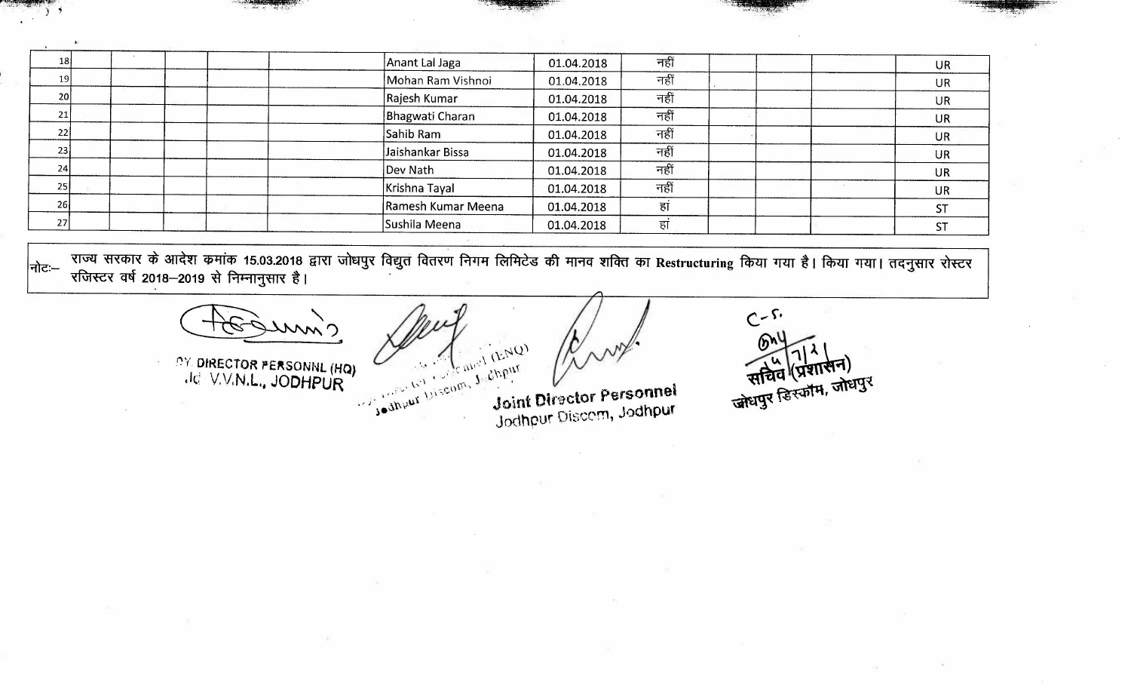| 18 | Anant Lal Jaga     | 01.04.2018 | नहीं | <b>UR</b> |
|----|--------------------|------------|------|-----------|
| 19 | Mohan Ram Vishnoi  | 01.04.2018 | नहीं | <b>UR</b> |
| 20 | Rajesh Kumar       | 01.04.2018 | नहीं | UR        |
| 21 | Bhagwati Charan    | 01.04.2018 | नहीं | <b>UR</b> |
| 22 | Sahib Ram          | 01.04.2018 | नहीं | <b>UR</b> |
| 23 | Jaishankar Bissa   | 01.04.2018 | नहीं | <b>UR</b> |
| 24 | Dev Nath           | 01.04.2018 | नहीं | <b>UR</b> |
| 25 | Krishna Tayal      | 01.04.2018 | नहीं | <b>UR</b> |
| 26 | Ramesh Kumar Meena | 01.04.2018 | हां  |           |
| 27 | Sushila Meena      | 01.04.2018 | हां  |           |

"fie:- ~ '{-J-<cf;I-< ~ ~ ~ 15.03.2018 aRT ~ ~ ~a-<ul ~ fclftie.s ~ 1=fAcf ~ <f>T **Restructuring** fct,m Tfm *t* I fct,m Tfm I dGj'{-JI'< ~ -<ftitc-< crl:f 2018-2019 "fl Pis:.:Jlj'{-JI-< *t* I .

 $\frac{1}{67}$ <br> $\frac{1}{67}$ <br> $\frac{2019 \text{ R}}{19 \text{ H}}$   $\frac{1}{67}$ <br> $\frac{1}{100}$ <br> $\frac{1}{100}$ <br> $\frac{1}{100}$ <br> $\frac{1}{100}$ <br> $\frac{1}{100}$ <br> $\frac{1}{100}$ <br> $\frac{1}{100}$ <br> $\frac{1}{100}$ <br> $\frac{1}{100}$ <br> $\frac{1}{100}$ <br> $\frac{1}{100}$ <br> $\frac{1}{100}$ <br> $\frac{1}{100}$ <br> $\frac{1}{100$ 

**DY DIRECTOR PERSONNL (HQ)** ,lei V. V,N.L .• **JODHPUR** 

Joint Director Personnel Joint Director Personnel<br>Jodhpur Discom, Jodhpur

 $C - S$  $\mathbf{w}$ सचिव (प्रशासन)<br>सचिव (प्रशासन)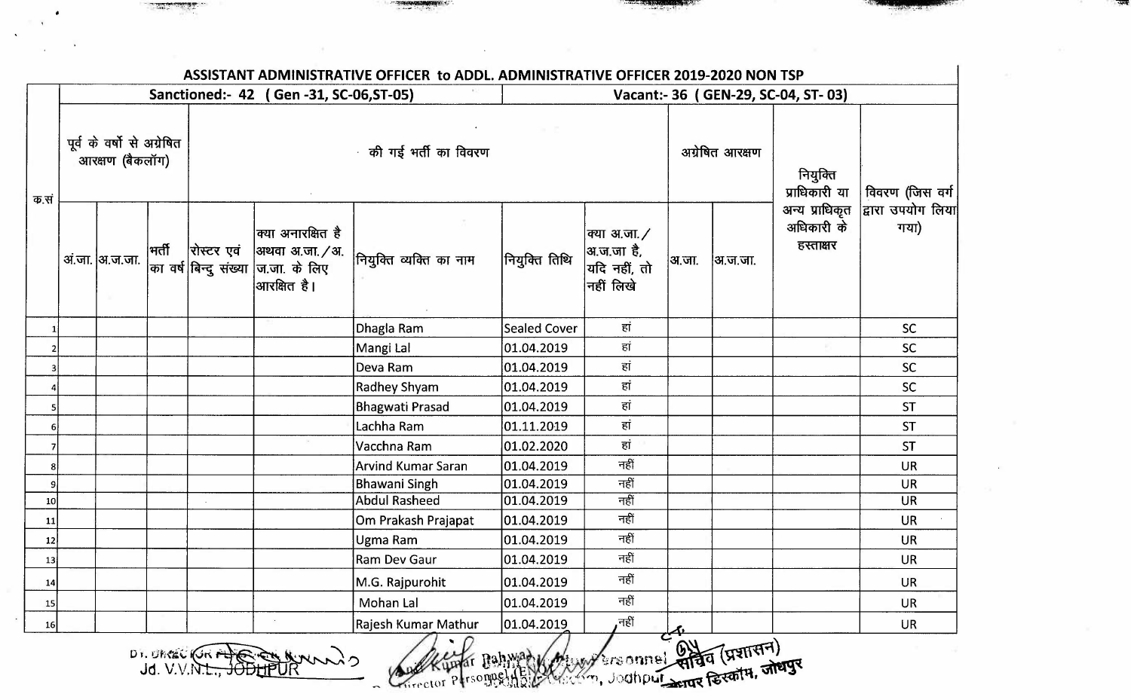| ASSISTANT ADMINISTRATIVE OFFICER to ADDL. ADMINISTRATIVE OFFICER 2019-2020 NON TSP |  |                                                |       |                      |                                                                                              |                                   |                     |                                                         |                                               |         |                                           |                           |
|------------------------------------------------------------------------------------|--|------------------------------------------------|-------|----------------------|----------------------------------------------------------------------------------------------|-----------------------------------|---------------------|---------------------------------------------------------|-----------------------------------------------|---------|-------------------------------------------|---------------------------|
|                                                                                    |  |                                                |       |                      | Sanctioned:- 42 (Gen -31, SC-06, ST-05)                                                      |                                   |                     |                                                         |                                               |         | Vacant:- 36 (GEN-29, SC-04, ST-03)        |                           |
| क.सं                                                                               |  | पूर्व के वर्षों से अग्रेषित<br>आरक्षण (बैकलॉग) |       | की गई भर्ती का विवरण |                                                                                              |                                   |                     |                                                         |                                               |         | नियुक्ति<br>प्राधिकारी या                 | विवरण (जिस वर्ग           |
|                                                                                    |  | अं.जा.  अ.ज.जा.                                | भर्ती | रोस्टर एवं           | क्या अनारक्षित है<br> अथवा अ.जा. / अ.<br> का वर्ष बिन्दु संख्या  ज.जा. के लिए<br>आरक्षित है। | नियुक्ति व्यक्ति का नाम           | नियुक्ति तिथि       | क्या अ.जा. /<br>अ.ज.जा है,<br>यदि नहीं, तो<br>नहीं लिखे | अ.जा.                                         | अ.ज.जा. | अन्य प्राधिकृत<br>अधिकारी के<br>हस्ताक्षर | द्वारा उपयोग लिया<br>गया) |
| $\mathbf{1}$                                                                       |  |                                                |       |                      |                                                                                              | Dhagla Ram                        | <b>Sealed Cover</b> | हां                                                     |                                               |         |                                           | <b>SC</b>                 |
| $\overline{2}$                                                                     |  |                                                |       |                      |                                                                                              | Mangi Lal                         | 01.04.2019          | हां                                                     |                                               |         |                                           | SC                        |
| $\mathbf{3}$                                                                       |  |                                                |       |                      |                                                                                              | Deva Ram                          | 01.04.2019          | हां                                                     |                                               |         |                                           | <b>SC</b>                 |
|                                                                                    |  |                                                |       |                      |                                                                                              | <b>Radhey Shyam</b>               | 01.04.2019          | हां                                                     |                                               |         |                                           | SC                        |
| $\mathsf{S}$                                                                       |  |                                                |       |                      |                                                                                              | <b>Bhagwati Prasad</b>            | 01.04.2019          | हां                                                     |                                               |         |                                           | <b>ST</b>                 |
| 6                                                                                  |  |                                                |       |                      |                                                                                              | Lachha Ram                        | 01.11.2019          | हां                                                     |                                               |         |                                           | <b>ST</b>                 |
| $\overline{7}$                                                                     |  |                                                |       |                      |                                                                                              | Vacchna Ram                       | 01.02.2020          | हां                                                     |                                               |         |                                           | <b>ST</b>                 |
| $\bf 8$                                                                            |  |                                                |       |                      |                                                                                              | <b>Arvind Kumar Saran</b>         | 01.04.2019          | नहीं                                                    |                                               |         |                                           | <b>UR</b>                 |
| $\overline{9}$                                                                     |  |                                                |       |                      |                                                                                              | <b>Bhawani Singh</b>              | 01.04.2019          | नहीं                                                    |                                               |         |                                           | <b>UR</b>                 |
| 10                                                                                 |  |                                                |       |                      |                                                                                              | <b>Abdul Rasheed</b>              | 01.04.2019          | नहीं                                                    |                                               |         |                                           | <b>UR</b>                 |
| 11                                                                                 |  |                                                |       |                      |                                                                                              | Om Prakash Prajapat               | 01.04.2019          | नहीं                                                    |                                               |         |                                           | <b>UR</b>                 |
| 12                                                                                 |  |                                                |       |                      |                                                                                              | Ugma Ram                          | 01.04.2019          | नहीं                                                    |                                               |         |                                           | <b>UR</b>                 |
| 13                                                                                 |  |                                                |       |                      |                                                                                              | Ram Dev Gaur                      | 01.04.2019          | नहीं                                                    |                                               |         |                                           | <b>UR</b>                 |
| 14                                                                                 |  |                                                |       |                      |                                                                                              | M.G. Rajpurohit                   | 01.04.2019          | नहीं                                                    |                                               |         |                                           | <b>UR</b>                 |
| 15                                                                                 |  |                                                |       |                      |                                                                                              | <b>Mohan Lal</b>                  | 01.04.2019          | नहीं                                                    |                                               |         |                                           | <b>UR</b>                 |
| 16                                                                                 |  |                                                |       |                      |                                                                                              | Rajesh Kumar Mathur<br>$\sqrt{1}$ | 01.04.2019          | ,नहीं                                                   | $\mathcal{C}^{\mathcal{A}^{\mathbf{\prime}}}$ |         |                                           | <b>UR</b>                 |

Dr. OMAGE (Gri AL) CHANNANO

 $\sim$ 

Auction Personnel (Auction Connel State (SISTIFIT)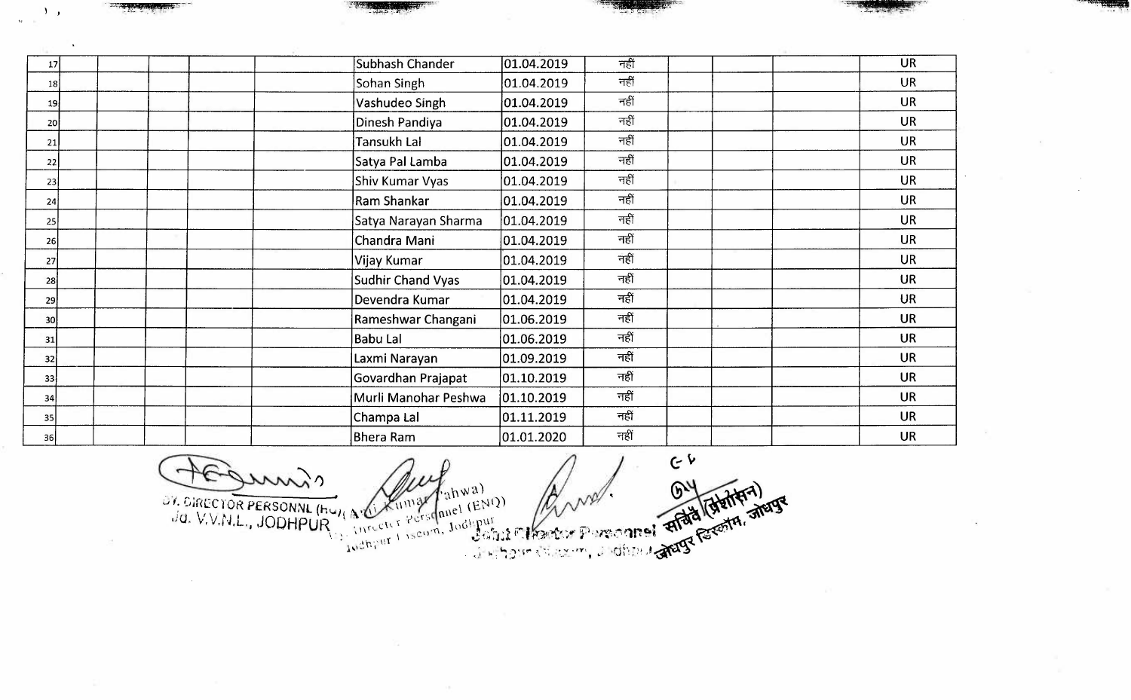| 17              | Subhash Chander          | 01.04.2019           | नहीं |  | <b>UR</b> |
|-----------------|--------------------------|----------------------|------|--|-----------|
| 18 <sup>1</sup> | Sohan Singh              | 01.04.2019           | नहीं |  | <b>UR</b> |
| 19              | Vashudeo Singh           | [01.04.2019]         | नहीं |  | <b>UR</b> |
| <b>20</b>       | Dinesh Pandiya           | 01.04.2019           | नहीं |  | <b>UR</b> |
| 21              | Tansukh Lal              | 01.04.2019           | नहीं |  | <b>UR</b> |
| 22              | Satya Pal Lamba          | 01.04.2019           | नहीं |  | <b>UR</b> |
| 23              | Shiv Kumar Vyas          | [01.04.2019]         | नहीं |  | <b>UR</b> |
| 24              | <b>Ram Shankar</b>       | 01.04.2019           | नहीं |  | <b>UR</b> |
| 25              | Satya Narayan Sharma     | 01.04.2019           | नहीं |  | <b>UR</b> |
| 26              | Chandra Mani             | 01.04.2019           | नहीं |  | <b>UR</b> |
| 27              | Vijay Kumar              | 01.04.2019           | नहीं |  | <b>UR</b> |
| 28              | <b>Sudhir Chand Vyas</b> | 01.04.2019           | नहीं |  | <b>UR</b> |
| 29              | Devendra Kumar           | 01.04.2019           | नहीं |  | <b>UR</b> |
| 30I             | Rameshwar Changani       | 01.06.2019           | नहीं |  | <b>UR</b> |
| 31              | <b>Babu Lal</b>          | 01.06.2019           | नहीं |  | <b>UR</b> |
| 32              | Laxmi Narayan            | 01.09.2019           | नहीं |  | <b>UR</b> |
| 33              | Govardhan Prajapat       | 01.10.2019           | नहीं |  | <b>UR</b> |
| 34              | Murli Manohar Peshwa     | $ 01.10.2019\rangle$ | नहीं |  | <b>UR</b> |
| 35              | Champa Lal               | 01.11.2019           | नहीं |  | <b>UR</b> |
| 36              | <b>Bhera Ram</b>         | 01.01.2020           | नहीं |  | <b>UR</b> |

 $C$ OF SIRECTOR PERSONNL (HUMAN AND TAIWA) mil

 $\mathbf{I}$ 

 $\dot{\mathbf{w}} = \mathbf{w}$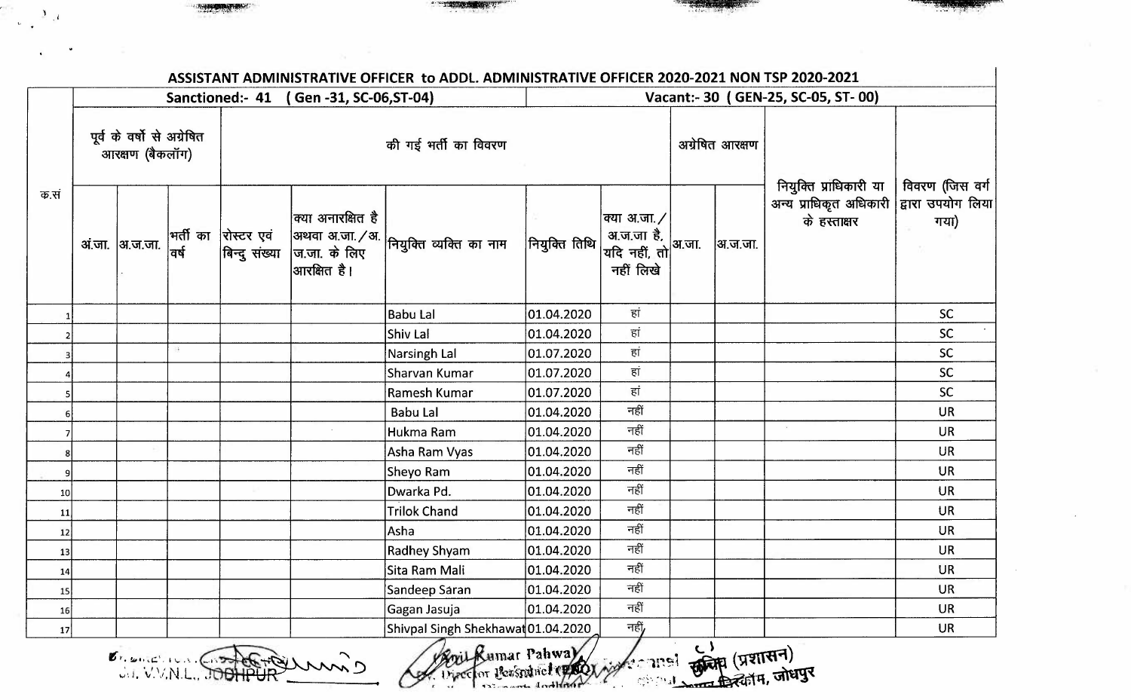|                 |                                               |                 |    |                                              | Sanctioned:- 41 (Gen-31, SC-06, ST-04) | Vacant:- 30 (GEN-25, SC-05, ST-00) |                                                                        |                           |                 |         |                                                                                                      |           |
|-----------------|-----------------------------------------------|-----------------|----|----------------------------------------------|----------------------------------------|------------------------------------|------------------------------------------------------------------------|---------------------------|-----------------|---------|------------------------------------------------------------------------------------------------------|-----------|
|                 | पूर्व के वर्षो से अग्रेषित<br>आरक्षण (बैकलॉग) |                 |    | की गई भर्ती का विवरण                         |                                        |                                    |                                                                        |                           | अग्रेषित आरक्षण |         |                                                                                                      |           |
| क.सं            |                                               | अं.जा.  अ.ज.जा. |    | ्  भर्ती का  <br> <br> वर्ष<br>बिन्दु संख्या | क्या अनारक्षित है<br> आरक्षित है।      | अथवा अ.जा./अ.  <br> ज.जा. के लिए   | नियुक्ति तिथि  अ.ज.जा है,  अ.जा.<br> मियुक्ति तिथि  यदि नहीं, तो अ.जा. | क्या अ.जा. /<br>नहीं लिखे |                 | अ.ज.जा. | नियुक्ति प्राधिकारी या   विवरण (जिस वर्ग<br>अन्य प्राधिकृत अधिकारी द्वारा उपयोग लिया<br>के हस्ताक्षर | गया)      |
|                 |                                               |                 |    |                                              |                                        | <b>Babu Lal</b>                    | 01.04.2020                                                             | हां                       |                 |         |                                                                                                      | <b>SC</b> |
|                 |                                               |                 |    |                                              |                                        | Shiv Lal                           | 01.04.2020                                                             | हां                       |                 |         |                                                                                                      | SC        |
|                 |                                               |                 | 81 |                                              |                                        | Narsingh Lal                       | 01.07.2020                                                             | हां                       |                 |         |                                                                                                      | <b>SC</b> |
|                 |                                               |                 |    |                                              |                                        | Sharvan Kumar                      | 01.07.2020                                                             | हां                       |                 |         |                                                                                                      | <b>SC</b> |
|                 |                                               |                 |    |                                              |                                        | Ramesh Kumar                       | 01.07.2020                                                             | हां                       |                 |         |                                                                                                      | <b>SC</b> |
|                 |                                               |                 |    |                                              |                                        | <b>Babu Lal</b>                    | 01.04.2020                                                             | नहीं                      |                 |         |                                                                                                      | <b>UR</b> |
|                 |                                               |                 |    |                                              |                                        | Hukma Ram                          | 01.04.2020                                                             | नहीं                      |                 |         |                                                                                                      | <b>UR</b> |
|                 |                                               |                 |    |                                              |                                        | Asha Ram Vyas                      | 01.04.2020                                                             | नहीं                      |                 |         |                                                                                                      | <b>UR</b> |
|                 |                                               |                 |    |                                              |                                        | Sheyo Ram                          | 01.04.2020                                                             | नहीं                      |                 |         |                                                                                                      | <b>UR</b> |
| 10 <sub>l</sub> |                                               |                 |    |                                              |                                        | Dwarka Pd.                         | 01.04.2020                                                             | नहीं                      |                 |         |                                                                                                      | <b>UR</b> |
| 11              |                                               |                 |    |                                              |                                        | <b>Trilok Chand</b>                | 01.04.2020                                                             | नहीं                      |                 |         |                                                                                                      | UR        |
| 12              |                                               |                 |    |                                              |                                        | Asha                               | 01.04.2020                                                             | नहीं                      |                 |         |                                                                                                      | <b>UR</b> |
| 13              |                                               |                 |    |                                              |                                        | Radhey Shyam                       | 01.04.2020                                                             | नहीं                      |                 |         |                                                                                                      | <b>UR</b> |
| 14              |                                               |                 |    |                                              |                                        | Sita Ram Mali                      | 01.04.2020                                                             | नहीं                      |                 |         |                                                                                                      | <b>UR</b> |
| 15              |                                               |                 |    |                                              |                                        | Sandeep Saran                      | 01.04.2020                                                             | नहीं                      |                 |         |                                                                                                      | <b>UR</b> |
| 16              |                                               |                 |    |                                              |                                        | Gagan Jasuja                       | 01.04.2020                                                             | नहीं                      |                 |         |                                                                                                      | <b>UR</b> |
| 17              |                                               |                 |    |                                              |                                        | Shivpal Singh Shekhawat 01.04.2020 |                                                                        | नहीं,                     |                 |         |                                                                                                      | <b>UR</b> |

**.** ' **!t,,** . **1** . **11,,t:,** ,, **,** , **~** N **\,.·** , Contra 10 ~,·.J, "· /, .• , , .•. *11,J* **u-** *1,,11 \.* 

 $\frac{3}{2}$ , i